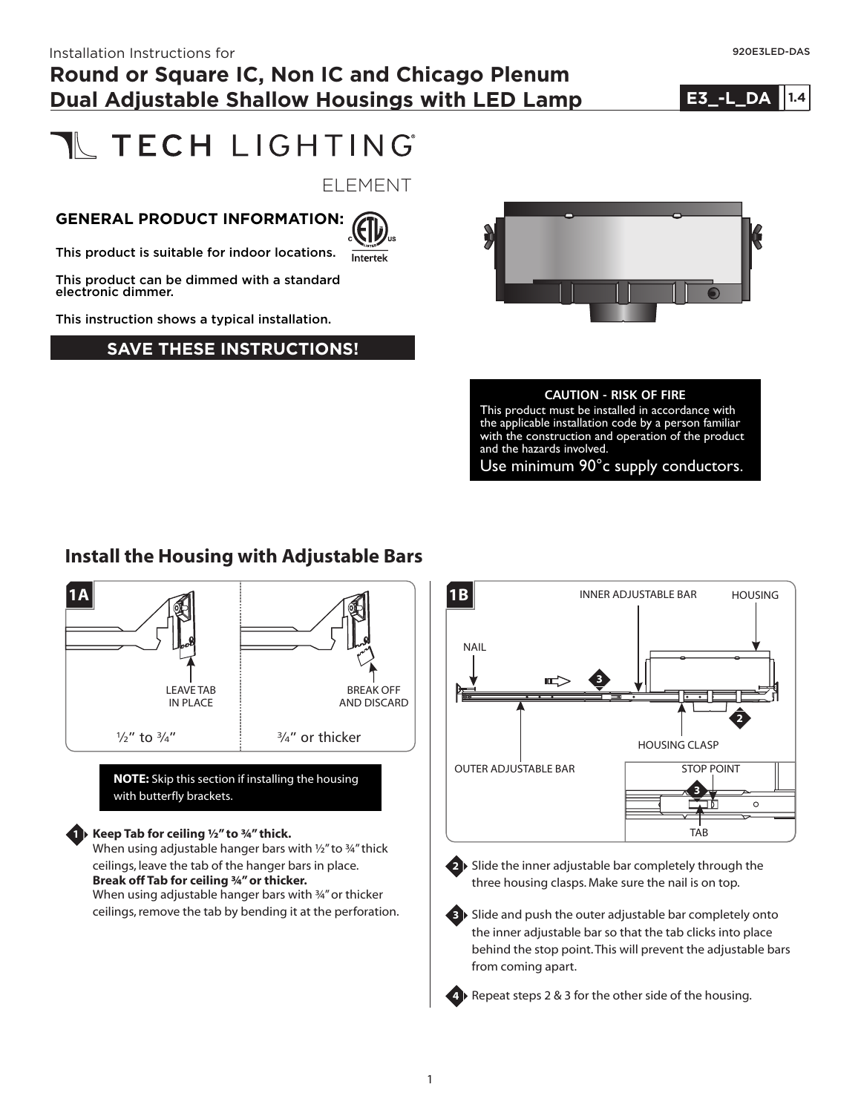# **NECH LIGHTING**

ELEMENT

#### **GENERAL PRODUCT INFORMATION:**



This product is suitable for indoor locations.

This product can be dimmed with a standard electronic dimmer.

This instruction shows a typical installation.

#### **SAVE THESE INSTRUCTIONS!**



#### **CAUTION - RISK OF FIRE**

This product must be installed in accordance with the applicable installation code by a person familiar with the construction and operation of the product and the hazards involved.

Use minimum 90°c supply conductors.

#### **Install the Housing with Adjustable Bars**



**NOTE:** Skip this section if installing the housing with butterfly brackets.

#### **Keep Tab for ceiling ½" to ¾" thick.**

**1**

When using adjustable hanger bars with 1/2" to 34" thick ceilings, leave the tab of the hanger bars in place. **Break off Tab for ceiling ¾" or thicker.** When using adjustable hanger bars with ¾" or thicker ceilings, remove the tab by bending it at the perforation.





**2** Slide the inner adjustable bar completely through the three housing clasps. Make sure the nail is on top.

**3** Slide and push the outer adjustable bar completely onto the inner adjustable bar so that the tab clicks into place behind the stop point.This will prevent the adjustable bars from coming apart.

**4** Repeat steps 2 & 3 for the other side of the housing.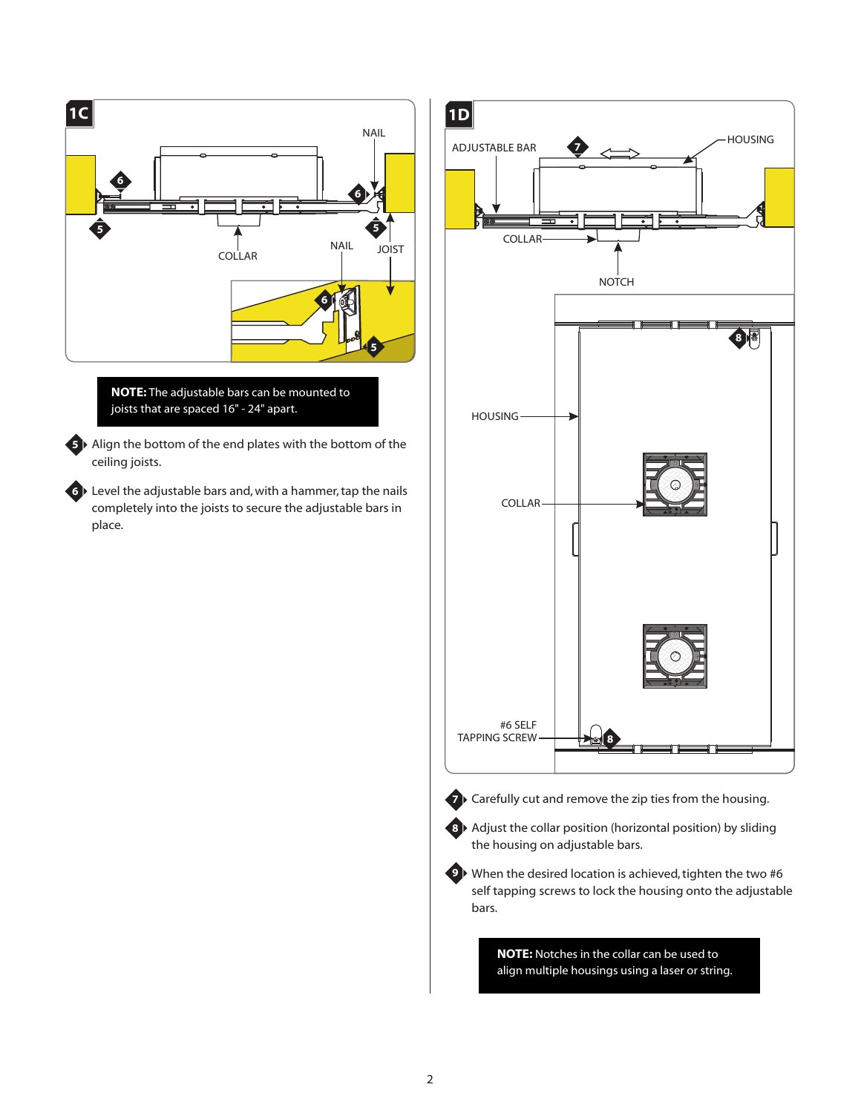

**NOTE:** The adjustable bars can be mounted to joists that are spaced 16" - 24" apart.

**5** ▶ Align the bottom of the end plates with the bottom of the ceiling joists.

Level the adjustable bars and, with a hammer, tap the nails **6** completely into the joists to secure the adjustable bars in place.



**NOTE:** Notches in the collar can be used to align multiple housings using a laser or string.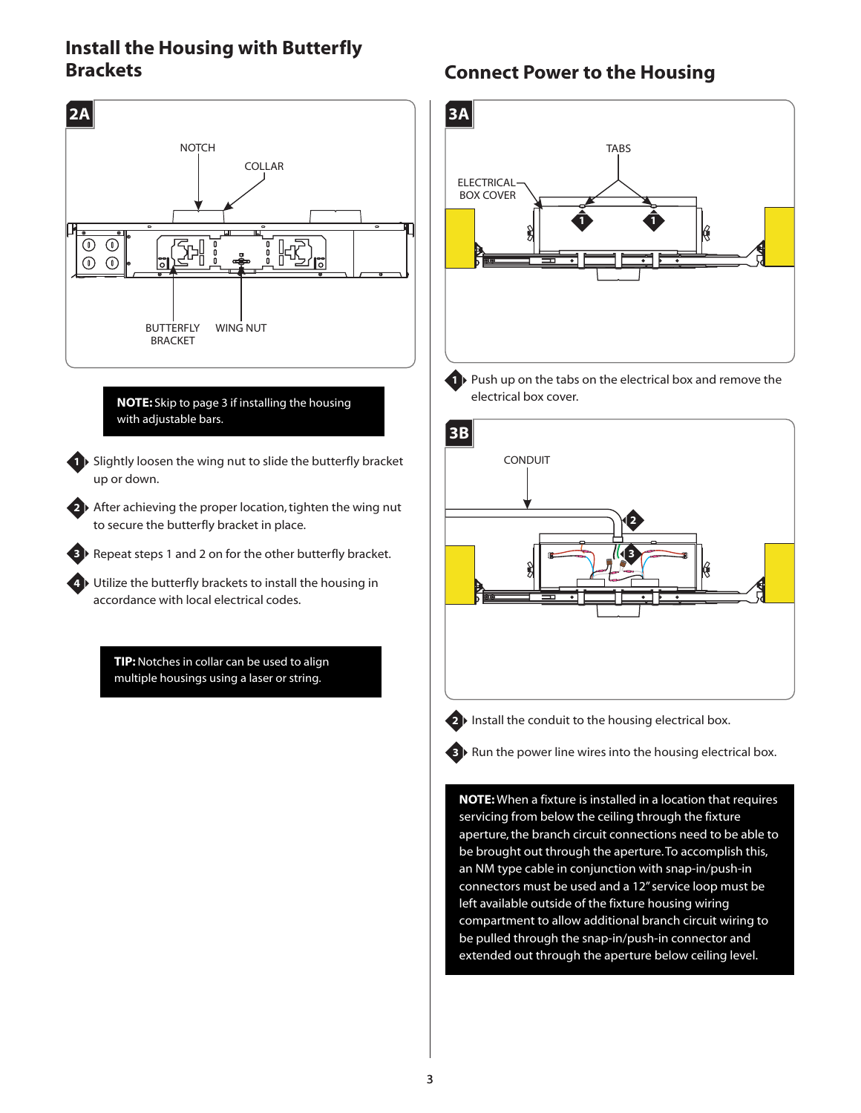### **Install the Housing with Butterfly Brackets Connect Power to the Housing**





1 Push up on the tabs on the electrical box and remove the electrical box cover.



2<sup>1</sup> Install the conduit to the housing electrical box.

**3** Run the power line wires into the housing electrical box.

**NOTE:** When a fixture is installed in a location that requires servicing from below the ceiling through the fixture aperture, the branch circuit connections need to be able to be brought out through the aperture.To accomplish this, an NM type cable in conjunction with snap-in/push-in connectors must be used and a 12" service loop must be left available outside of the fixture housing wiring compartment to allow additional branch circuit wiring to be pulled through the snap-in/push-in connector and extended out through the aperture below ceiling level.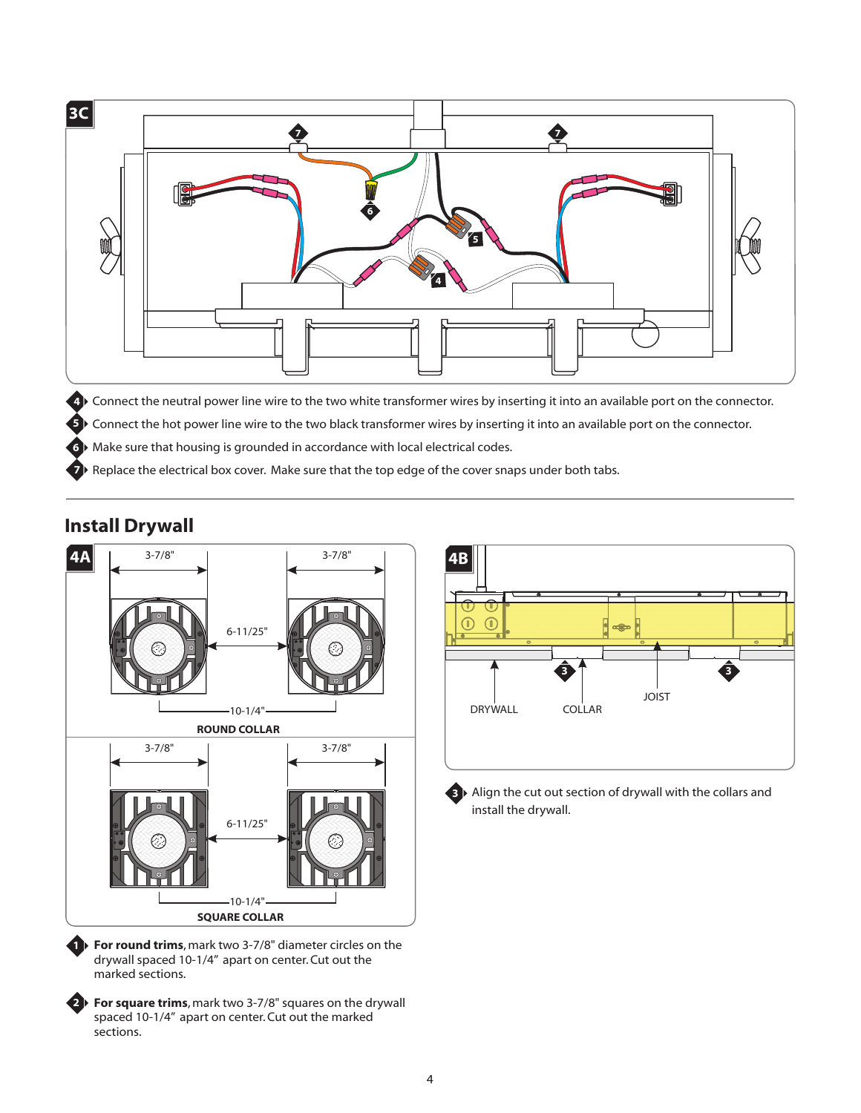

Connect the neutral power line wire to the two white transformer wires by inserting it into an available port on the connector. **4**

Connect the hot power line wire to the two black transformer wires by inserting it into an available port on the connector. **5**

**6** Make sure that housing is grounded in accordance with local electrical codes.

**7** Replace the electrical box cover. Make sure that the top edge of the cover snaps under both tabs.

#### **Install Drywall**



**For round trims**, mark two 3-7/8" diameter circles on the **1** drywall spaced 10-1/4" apart on center. Cut out the marked sections.

**For square trims**, mark two 3-7/8" squares on the drywall **2** spaced 10-1/4" apart on center. Cut out the marked sections.



**3** ▶ Align the cut out section of drywall with the collars and install the drywall.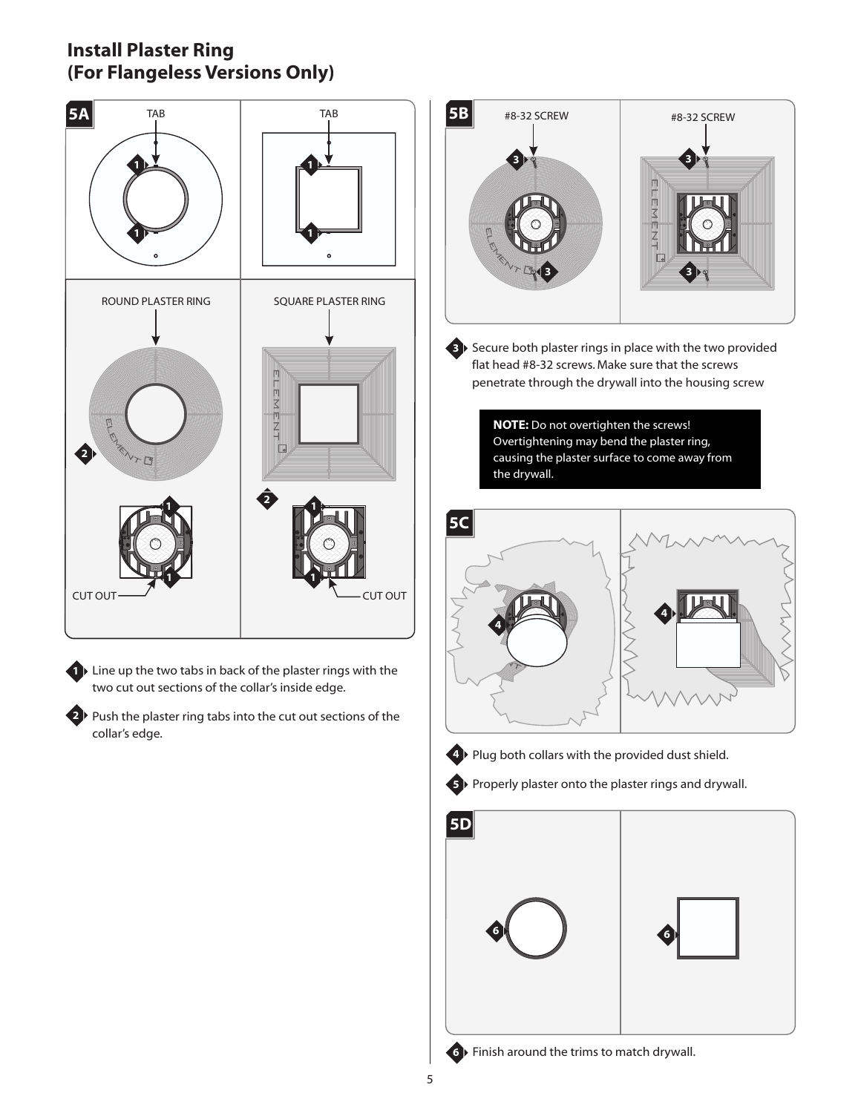### **Install Plaster Ring (For Flangeless Versions Only)**



**1** Line up the two tabs in back of the plaster rings with the two cut out sections of the collar's inside edge.

2<sup>1</sup> Push the plaster ring tabs into the cut out sections of the collar's edge.



**3** Secure both plaster rings in place with the two provided flat head #8-32 screws. Make sure that the screws penetrate through the drywall into the housing screw

> **NOTE:** Do not overtighten the screws! Overtightening may bend the plaster ring, causing the plaster surface to come away from the drywall.





**4 ▶ Plug both collars with the provided dust shield.** 





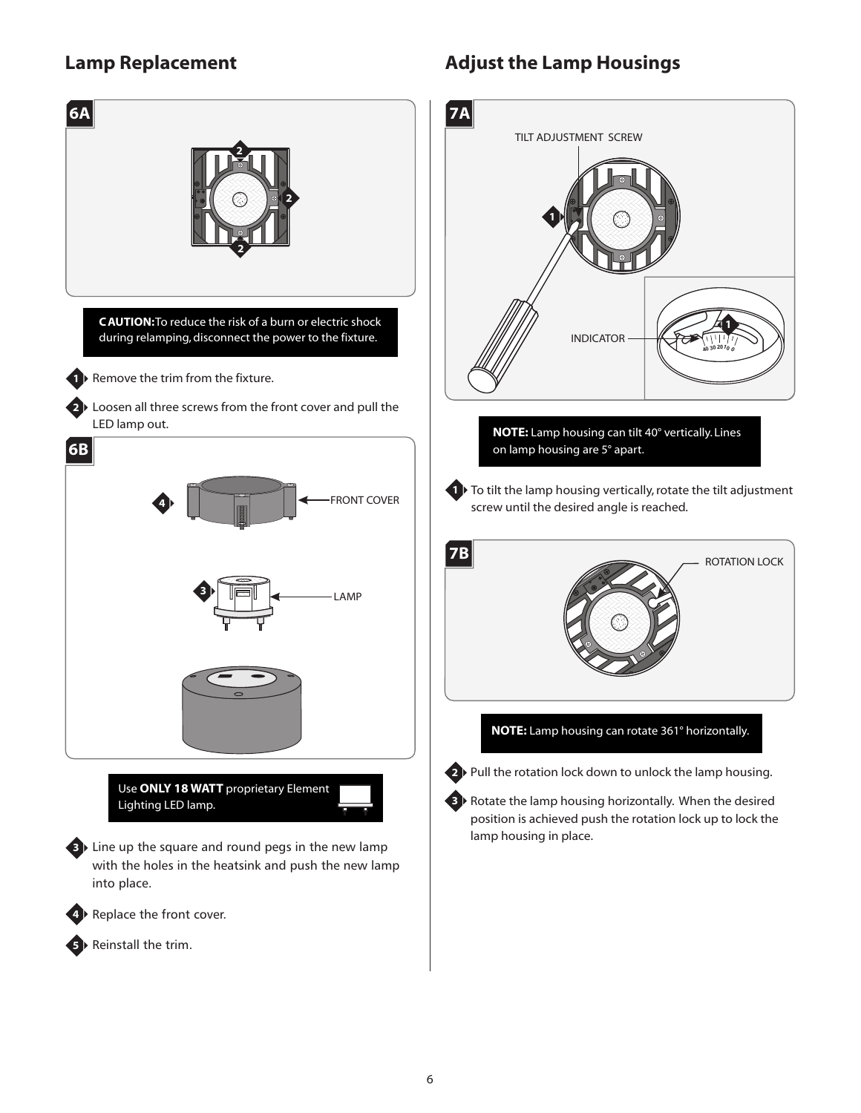## **Lamp Replacement**



# **Adjust the Lamp Housings**